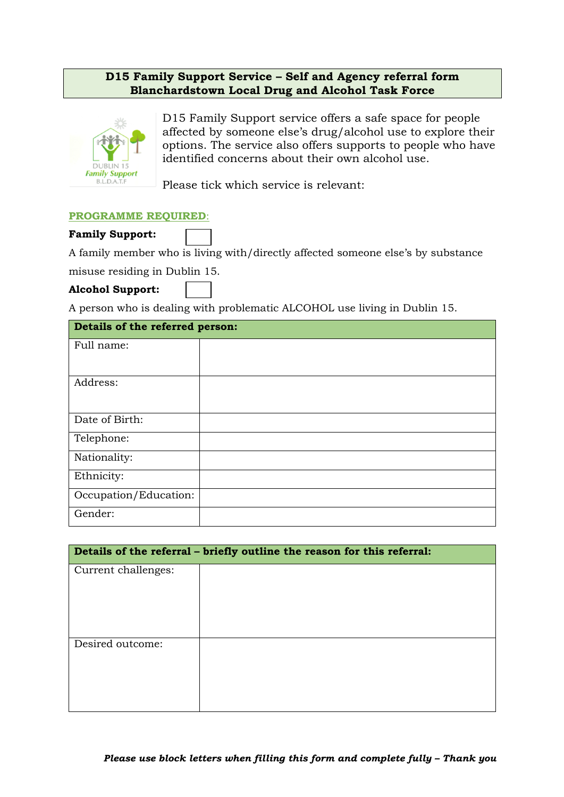## **D15 Family Support Service – Self and Agency referral form Blanchardstown Local Drug and Alcohol Task Force**



D15 Family Support service offers a safe space for people affected by someone else's drug/alcohol use to explore their options. The service also offers supports to people who have identified concerns about their own alcohol use.

Please tick which service is relevant:

## **PROGRAMME REQUIRED**:

## **Family Support:**

A family member who is living with/directly affected someone else's by substance

misuse residing in Dublin 15.

## **Alcohol Support:**

A person who is dealing with problematic ALCOHOL use living in Dublin 15.

| Details of the referred person: |  |  |
|---------------------------------|--|--|
| Full name:                      |  |  |
| Address:                        |  |  |
| Date of Birth:                  |  |  |
| Telephone:                      |  |  |
| Nationality:                    |  |  |
| Ethnicity:                      |  |  |
| Occupation/Education:           |  |  |
| Gender:                         |  |  |

| Details of the referral - briefly outline the reason for this referral: |  |  |  |  |
|-------------------------------------------------------------------------|--|--|--|--|
| Current challenges:                                                     |  |  |  |  |
| Desired outcome:                                                        |  |  |  |  |